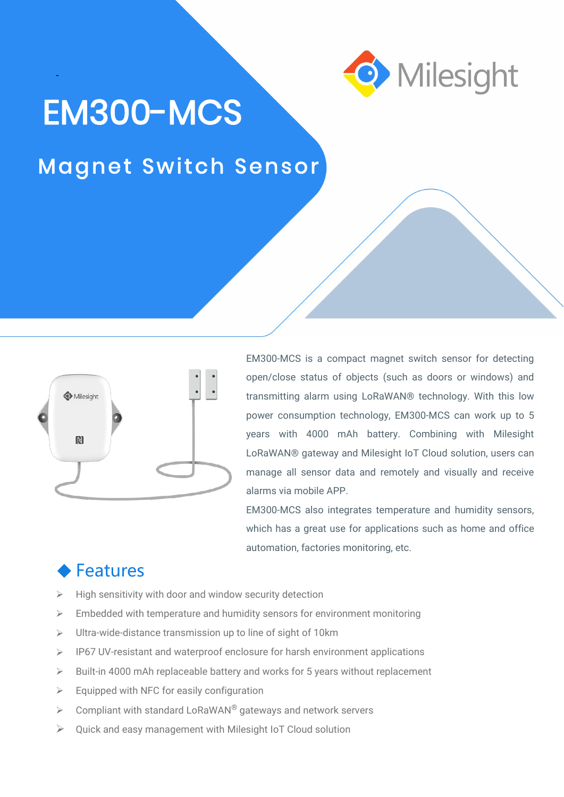

## EM300-MCS

-

## Magnet Switch Sensor



EM300-MCS is a compact magnet switch sensor for detecting open/close status of objects (such as doors or windows) and transmitting alarm using LoRaWAN® technology. With this low power consumption technology, EM300-MCS can work up to 5 years with 4000 mAh battery. Combining with Milesight LoRaWAN® gateway and Milesight IoT Cloud solution, users can manage all sensor data and remotely and visually and receive alarms via mobile APP.

EM300-MCS also integrates temperature and humidity sensors, which has a great use for applications such as home and office automation, factories monitoring, etc.

## Features

- High sensitivity with door and window security detection
- $\triangleright$  Embedded with temperature and humidity sensors for environment monitoring
- $\triangleright$  Ultra-wide-distance transmission up to line of sight of 10km
- $\triangleright$  IP67 UV-resistant and waterproof enclosure for harsh environment applications
- $\triangleright$  Built-in 4000 mAh replaceable battery and works for 5 years without replacement
- $\triangleright$  Equipped with NFC for easily configuration
- $\triangleright$  Compliant with standard LoRaWAN® gateways and network servers
- Quick and easy management with Milesight IoT Cloud solution